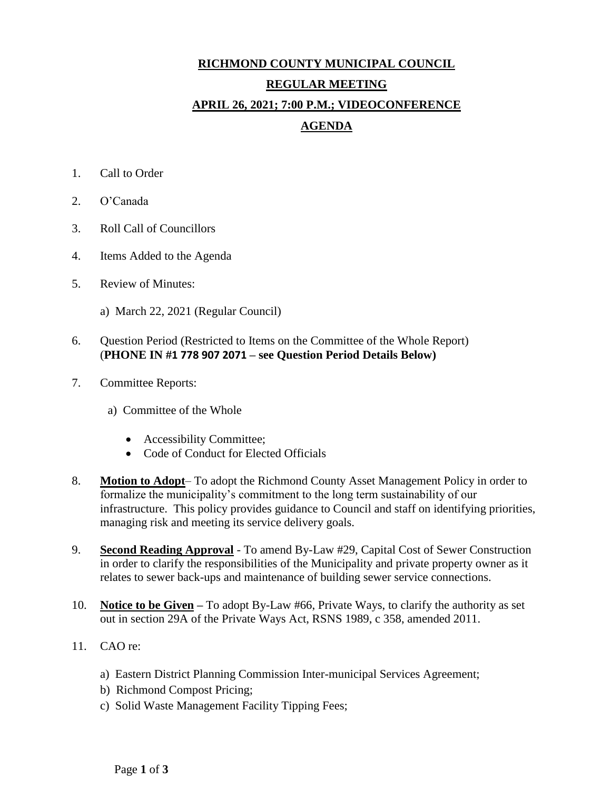## **RICHMOND COUNTY MUNICIPAL COUNCIL REGULAR MEETING APRIL 26, 2021; 7:00 P.M.; VIDEOCONFERENCE AGENDA**

- 1. Call to Order
- 2. O'Canada
- 3. Roll Call of Councillors
- 4. Items Added to the Agenda
- 5. Review of Minutes:
	- a) March 22, 2021 (Regular Council)

## 6. Question Period (Restricted to Items on the Committee of the Whole Report) (**PHONE IN #1 778 907 2071 – see Question Period Details Below)**

- 7. Committee Reports:
	- a) Committee of the Whole
		- Accessibility Committee;
		- Code of Conduct for Elected Officials
- 8. **Motion to Adopt** To adopt the Richmond County Asset Management Policy in order to formalize the municipality's commitment to the long term sustainability of our infrastructure. This policy provides guidance to Council and staff on identifying priorities, managing risk and meeting its service delivery goals.
- 9. **Second Reading Approval** To amend By-Law #29, Capital Cost of Sewer Construction in order to clarify the responsibilities of the Municipality and private property owner as it relates to sewer back-ups and maintenance of building sewer service connections.
- 10. **Notice to be Given –** To adopt By-Law #66, Private Ways, to clarify the authority as set out in section 29A of the Private Ways Act, RSNS 1989, c 358, amended 2011.
- 11. CAO re:
	- a) Eastern District Planning Commission Inter-municipal Services Agreement;
	- b) Richmond Compost Pricing;
	- c) Solid Waste Management Facility Tipping Fees;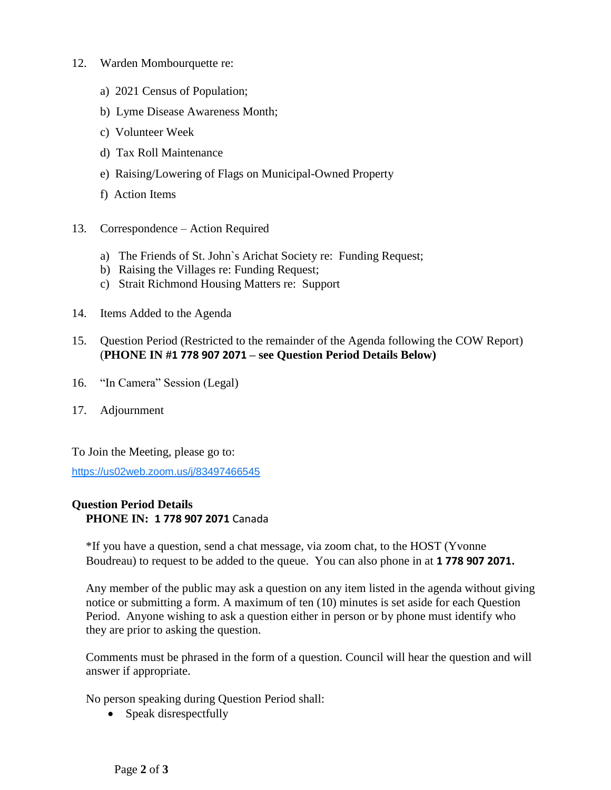- 12. Warden Mombourquette re:
	- a) 2021 Census of Population;
	- b) Lyme Disease Awareness Month;
	- c) Volunteer Week
	- d) Tax Roll Maintenance
	- e) Raising/Lowering of Flags on Municipal-Owned Property
	- f) Action Items
- 13. Correspondence Action Required
	- a) The Friends of St. John`s Arichat Society re: Funding Request;
	- b) Raising the Villages re: Funding Request;
	- c) Strait Richmond Housing Matters re: Support
- 14. Items Added to the Agenda
- 15. Question Period (Restricted to the remainder of the Agenda following the COW Report) (**PHONE IN #1 778 907 2071 – see Question Period Details Below)**
- 16. "In Camera" Session (Legal)
- 17. Adjournment

To Join the Meeting, please go to:

<https://us02web.zoom.us/j/83497466545>

## **Question Period Details PHONE IN: 1 778 907 2071** Canada

\*If you have a question, send a chat message, via zoom chat, to the HOST (Yvonne Boudreau) to request to be added to the queue. You can also phone in at **1 778 907 2071.**

Any member of the public may ask a question on any item listed in the agenda without giving notice or submitting a form. A maximum of ten (10) minutes is set aside for each Question Period. Anyone wishing to ask a question either in person or by phone must identify who they are prior to asking the question.

Comments must be phrased in the form of a question. Council will hear the question and will answer if appropriate.

No person speaking during Question Period shall:

• Speak disrespectfully